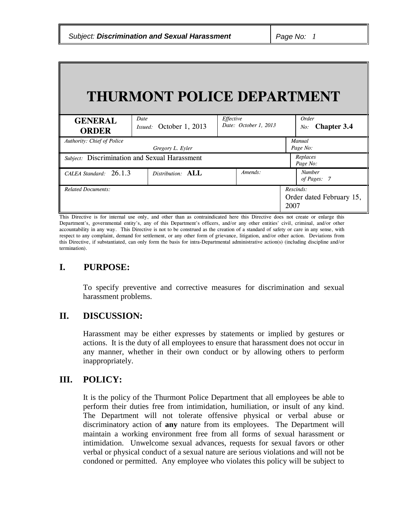| THURMONT POLICE DEPARTMENT        |                                               |                                    |                                               |  |
|-----------------------------------|-----------------------------------------------|------------------------------------|-----------------------------------------------|--|
| <b>GENERAL</b><br><b>ORDER</b>    | Date<br>Issued: October 1, 2013               | Effective<br>Date: October 1, 2013 | Order<br><b>Chapter 3.4</b><br>No:            |  |
| <b>Authority: Chief of Police</b> | Gregory L. Eyler                              |                                    | Manual<br>Page No:                            |  |
|                                   | Subject: Discrimination and Sexual Harassment |                                    | Replaces<br>Page No:                          |  |
| CALEA Standard: 26.1.3            | Distribution: ALL                             | Amends:                            | <b>Number</b><br>of Pages: 7                  |  |
| <b>Related Documents:</b>         |                                               |                                    | Rescinds:<br>Order dated February 15,<br>2007 |  |

This Directive is for internal use only, and other than as contraindicated here this Directive does not create or enlarge this Department's, governmental entity's, any of this Department's officers, and/or any other entities' civil, criminal, and/or other accountability in any way. This Directive is not to be construed as the creation of a standard of safety or care in any sense, with respect to any complaint, demand for settlement, or any other form of grievance, litigation, and/or other action. Deviations from this Directive, if substantiated, can only form the basis for intra-Departmental administrative action(s) (including discipline and/or termination).

## **I. PURPOSE:**

To specify preventive and corrective measures for discrimination and sexual harassment problems.

## **II. DISCUSSION:**

Harassment may be either expresses by statements or implied by gestures or actions. It is the duty of all employees to ensure that harassment does not occur in any manner, whether in their own conduct or by allowing others to perform inappropriately.

# **III. POLICY:**

It is the policy of the Thurmont Police Department that all employees be able to perform their duties free from intimidation, humiliation, or insult of any kind. The Department will not tolerate offensive physical or verbal abuse or discriminatory action of **any** nature from its employees. The Department will maintain a working environment free from all forms of sexual harassment or intimidation. Unwelcome sexual advances, requests for sexual favors or other verbal or physical conduct of a sexual nature are serious violations and will not be condoned or permitted. Any employee who violates this policy will be subject to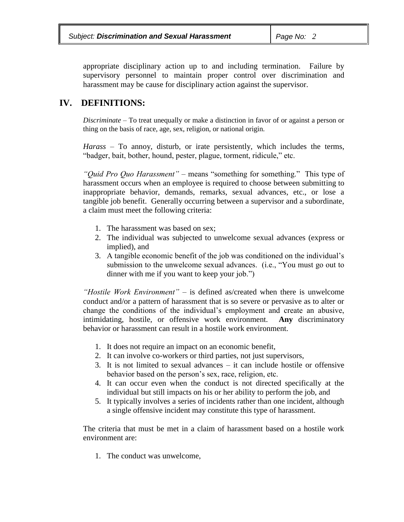appropriate disciplinary action up to and including termination. Failure by supervisory personnel to maintain proper control over discrimination and harassment may be cause for disciplinary action against the supervisor.

# **IV. DEFINITIONS:**

*Discriminate* – To treat unequally or make a distinction in favor of or against a person or thing on the basis of race, age, sex, religion, or national origin.

*Harass* – To annoy, disturb, or irate persistently, which includes the terms, "badger, bait, bother, hound, pester, plague, torment, ridicule," etc.

*"Quid Pro Quo Harassment"* – means "something for something." This type of harassment occurs when an employee is required to choose between submitting to inappropriate behavior, demands, remarks, sexual advances, etc., or lose a tangible job benefit. Generally occurring between a supervisor and a subordinate, a claim must meet the following criteria:

- 1. The harassment was based on sex;
- 2. The individual was subjected to unwelcome sexual advances (express or implied), and
- 3. A tangible economic benefit of the job was conditioned on the individual's submission to the unwelcome sexual advances. (i.e., "You must go out to dinner with me if you want to keep your job.")

*"Hostile Work Environment"* – is defined as/created when there is unwelcome conduct and/or a pattern of harassment that is so severe or pervasive as to alter or change the conditions of the individual's employment and create an abusive, intimidating, hostile, or offensive work environment. **Any** discriminatory behavior or harassment can result in a hostile work environment.

- 1. It does not require an impact on an economic benefit,
- 2. It can involve co-workers or third parties, not just supervisors,
- 3. It is not limited to sexual advances it can include hostile or offensive behavior based on the person's sex, race, religion, etc.
- 4. It can occur even when the conduct is not directed specifically at the individual but still impacts on his or her ability to perform the job, and
- 5. It typically involves a series of incidents rather than one incident, although a single offensive incident may constitute this type of harassment.

The criteria that must be met in a claim of harassment based on a hostile work environment are:

1. The conduct was unwelcome,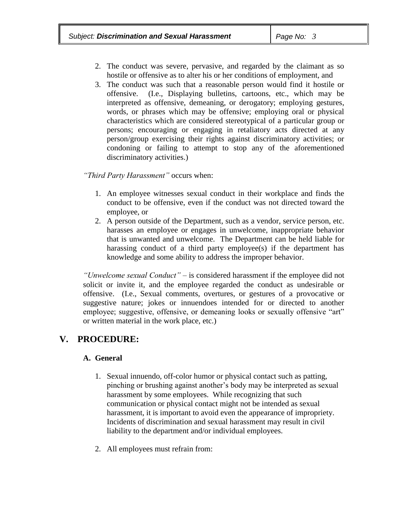- 2. The conduct was severe, pervasive, and regarded by the claimant as so hostile or offensive as to alter his or her conditions of employment, and
- 3. The conduct was such that a reasonable person would find it hostile or offensive. (I.e., Displaying bulletins, cartoons, etc., which may be interpreted as offensive, demeaning, or derogatory; employing gestures, words, or phrases which may be offensive; employing oral or physical characteristics which are considered stereotypical of a particular group or persons; encouraging or engaging in retaliatory acts directed at any person/group exercising their rights against discriminatory activities; or condoning or failing to attempt to stop any of the aforementioned discriminatory activities.)

#### *"Third Party Harassment"* occurs when:

- 1. An employee witnesses sexual conduct in their workplace and finds the conduct to be offensive, even if the conduct was not directed toward the employee, or
- 2. A person outside of the Department, such as a vendor, service person, etc. harasses an employee or engages in unwelcome, inappropriate behavior that is unwanted and unwelcome. The Department can be held liable for harassing conduct of a third party employee(s) if the department has knowledge and some ability to address the improper behavior.

*"Unwelcome sexual Conduct"* – is considered harassment if the employee did not solicit or invite it, and the employee regarded the conduct as undesirable or offensive. (I.e., Sexual comments, overtures, or gestures of a provocative or suggestive nature; jokes or innuendoes intended for or directed to another employee; suggestive, offensive, or demeaning looks or sexually offensive "art" or written material in the work place, etc.)

# **V. PROCEDURE:**

### **A. General**

- 1. Sexual innuendo, off-color humor or physical contact such as patting, pinching or brushing against another's body may be interpreted as sexual harassment by some employees. While recognizing that such communication or physical contact might not be intended as sexual harassment, it is important to avoid even the appearance of impropriety. Incidents of discrimination and sexual harassment may result in civil liability to the department and/or individual employees.
- 2. All employees must refrain from: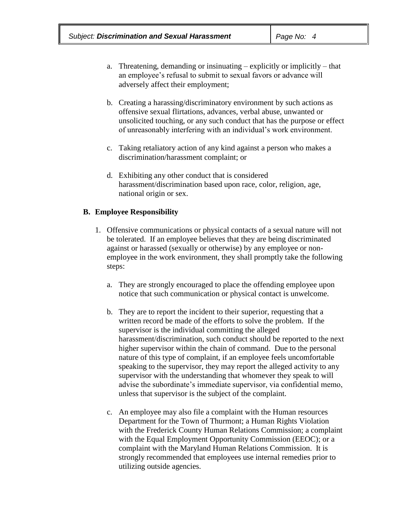- a. Threatening, demanding or insinuating explicitly or implicitly that an employee's refusal to submit to sexual favors or advance will adversely affect their employment;
- b. Creating a harassing/discriminatory environment by such actions as offensive sexual flirtations, advances, verbal abuse, unwanted or unsolicited touching, or any such conduct that has the purpose or effect of unreasonably interfering with an individual's work environment.
- c. Taking retaliatory action of any kind against a person who makes a discrimination/harassment complaint; or
- d. Exhibiting any other conduct that is considered harassment/discrimination based upon race, color, religion, age, national origin or sex.

#### **B. Employee Responsibility**

- 1. Offensive communications or physical contacts of a sexual nature will not be tolerated. If an employee believes that they are being discriminated against or harassed (sexually or otherwise) by any employee or nonemployee in the work environment, they shall promptly take the following steps:
	- a. They are strongly encouraged to place the offending employee upon notice that such communication or physical contact is unwelcome.
	- b. They are to report the incident to their superior, requesting that a written record be made of the efforts to solve the problem. If the supervisor is the individual committing the alleged harassment/discrimination, such conduct should be reported to the next higher supervisor within the chain of command. Due to the personal nature of this type of complaint, if an employee feels uncomfortable speaking to the supervisor, they may report the alleged activity to any supervisor with the understanding that whomever they speak to will advise the subordinate's immediate supervisor, via confidential memo, unless that supervisor is the subject of the complaint.
	- c. An employee may also file a complaint with the Human resources Department for the Town of Thurmont; a Human Rights Violation with the Frederick County Human Relations Commission; a complaint with the Equal Employment Opportunity Commission (EEOC); or a complaint with the Maryland Human Relations Commission. It is strongly recommended that employees use internal remedies prior to utilizing outside agencies.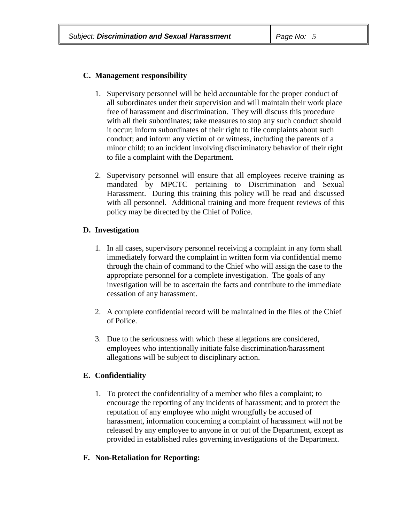### **C. Management responsibility**

- 1. Supervisory personnel will be held accountable for the proper conduct of all subordinates under their supervision and will maintain their work place free of harassment and discrimination. They will discuss this procedure with all their subordinates; take measures to stop any such conduct should it occur; inform subordinates of their right to file complaints about such conduct; and inform any victim of or witness, including the parents of a minor child; to an incident involving discriminatory behavior of their right to file a complaint with the Department.
- 2. Supervisory personnel will ensure that all employees receive training as mandated by MPCTC pertaining to Discrimination and Sexual Harassment. During this training this policy will be read and discussed with all personnel. Additional training and more frequent reviews of this policy may be directed by the Chief of Police.

### **D. Investigation**

- 1. In all cases, supervisory personnel receiving a complaint in any form shall immediately forward the complaint in written form via confidential memo through the chain of command to the Chief who will assign the case to the appropriate personnel for a complete investigation. The goals of any investigation will be to ascertain the facts and contribute to the immediate cessation of any harassment.
- 2. A complete confidential record will be maintained in the files of the Chief of Police.
- 3. Due to the seriousness with which these allegations are considered, employees who intentionally initiate false discrimination/harassment allegations will be subject to disciplinary action.

## **E. Confidentiality**

1. To protect the confidentiality of a member who files a complaint; to encourage the reporting of any incidents of harassment; and to protect the reputation of any employee who might wrongfully be accused of harassment, information concerning a complaint of harassment will not be released by any employee to anyone in or out of the Department, except as provided in established rules governing investigations of the Department.

### **F. Non-Retaliation for Reporting:**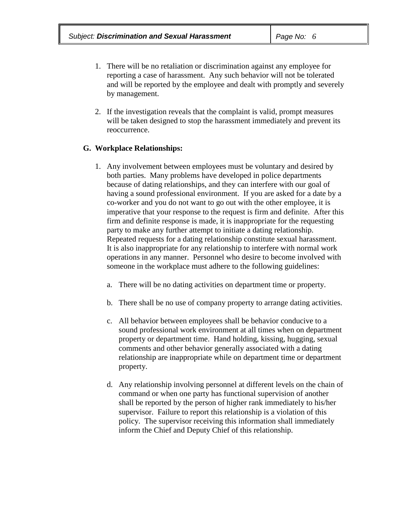- 1. There will be no retaliation or discrimination against any employee for reporting a case of harassment. Any such behavior will not be tolerated and will be reported by the employee and dealt with promptly and severely by management.
- 2. If the investigation reveals that the complaint is valid, prompt measures will be taken designed to stop the harassment immediately and prevent its reoccurrence.

#### **G. Workplace Relationships:**

- 1. Any involvement between employees must be voluntary and desired by both parties. Many problems have developed in police departments because of dating relationships, and they can interfere with our goal of having a sound professional environment. If you are asked for a date by a co-worker and you do not want to go out with the other employee, it is imperative that your response to the request is firm and definite. After this firm and definite response is made, it is inappropriate for the requesting party to make any further attempt to initiate a dating relationship. Repeated requests for a dating relationship constitute sexual harassment. It is also inappropriate for any relationship to interfere with normal work operations in any manner. Personnel who desire to become involved with someone in the workplace must adhere to the following guidelines:
	- a. There will be no dating activities on department time or property.
	- b. There shall be no use of company property to arrange dating activities.
	- c. All behavior between employees shall be behavior conducive to a sound professional work environment at all times when on department property or department time. Hand holding, kissing, hugging, sexual comments and other behavior generally associated with a dating relationship are inappropriate while on department time or department property.
	- d. Any relationship involving personnel at different levels on the chain of command or when one party has functional supervision of another shall be reported by the person of higher rank immediately to his/her supervisor. Failure to report this relationship is a violation of this policy. The supervisor receiving this information shall immediately inform the Chief and Deputy Chief of this relationship.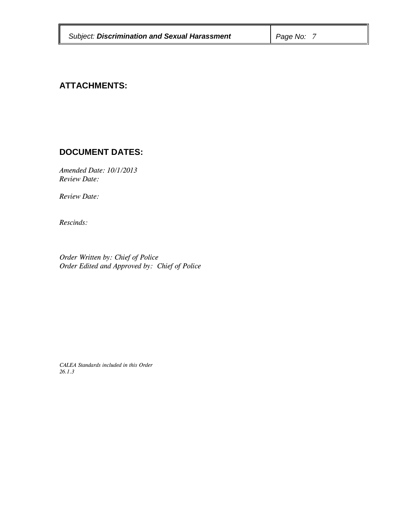| <b>Subject: Discrimination and Sexual Harassment</b> | Page No: |
|------------------------------------------------------|----------|
|                                                      |          |

# **ATTACHMENTS:**

## **DOCUMENT DATES:**

*Amended Date: 10/1/2013 Review Date:*

*Review Date:* 

*Rescinds:*

*Order Written by: Chief of Police Order Edited and Approved by: Chief of Police*

*CALEA Standards included in this Order 26.1.3*